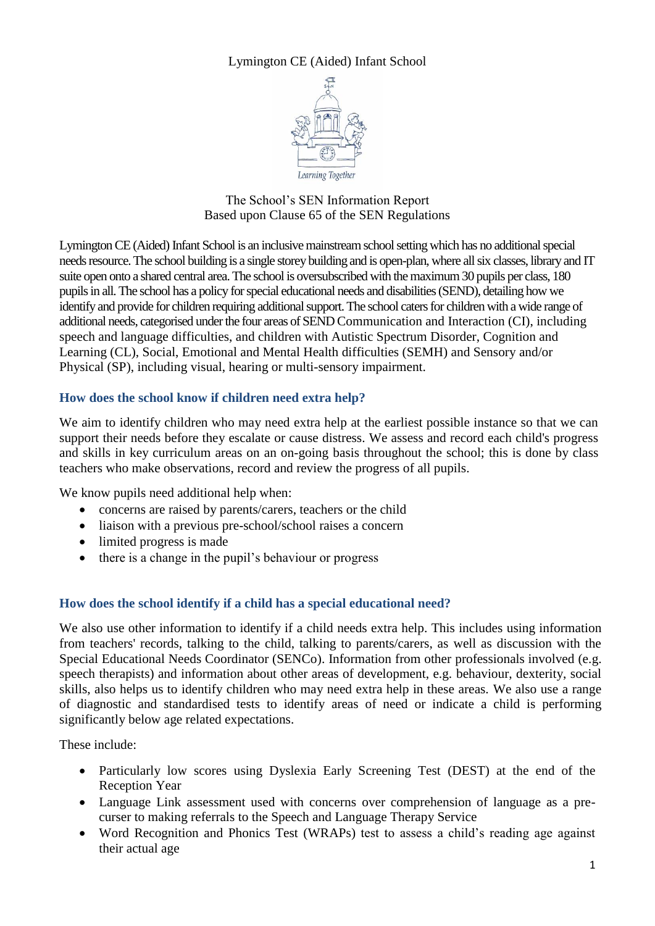# Lymington CE (Aided) Infant School



The School's SEN Information Report Based upon Clause 65 of the SEN Regulations

Lymington CE (Aided) Infant School is an inclusive mainstream school setting which has no additional special needs resource. The school building is a single storey building and is open-plan, where all six classes, library and IT suite open onto a shared central area. The school is oversubscribed with the maximum 30 pupils per class, 180 pupils in all. The school has a policy for special educational needs and disabilities (SEND), detailing how we identify and provide for children requiring additional support. The school caters for children with a wide range of additional needs, categorised under the four areas of SEND Communication and Interaction (CI), including speech and language difficulties, and children with Autistic Spectrum Disorder, Cognition and Learning (CL), Social, Emotional and Mental Health difficulties (SEMH) and Sensory and/or Physical (SP), including visual, hearing or multi-sensory impairment.

## **How does the school know if children need extra help?**

We aim to identify children who may need extra help at the earliest possible instance so that we can support their needs before they escalate or cause distress. We assess and record each child's progress and skills in key curriculum areas on an on-going basis throughout the school; this is done by class teachers who make observations, record and review the progress of all pupils.

We know pupils need additional help when:

- concerns are raised by parents/carers, teachers or the child
- liaison with a previous pre-school/school raises a concern
- limited progress is made
- there is a change in the pupil's behaviour or progress

## **How does the school identify if a child has a special educational need?**

We also use other information to identify if a child needs extra help. This includes using information from teachers' records, talking to the child, talking to parents/carers, as well as discussion with the Special Educational Needs Coordinator (SENCo). Information from other professionals involved (e.g. speech therapists) and information about other areas of development, e.g. behaviour, dexterity, social skills, also helps us to identify children who may need extra help in these areas. We also use a range of diagnostic and standardised tests to identify areas of need or indicate a child is performing significantly below age related expectations.

These include:

- Particularly low scores using Dyslexia Early Screening Test (DEST) at the end of the Reception Year
- Language Link assessment used with concerns over comprehension of language as a precurser to making referrals to the Speech and Language Therapy Service
- Word Recognition and Phonics Test (WRAPs) test to assess a child's reading age against their actual age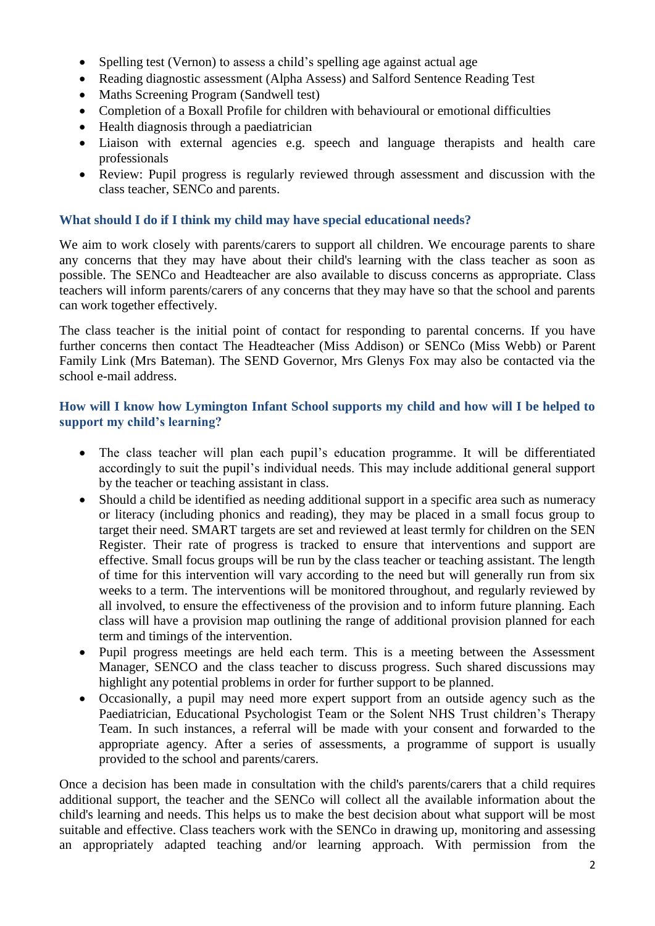- Spelling test (Vernon) to assess a child's spelling age against actual age
- Reading diagnostic assessment (Alpha Assess) and Salford Sentence Reading Test
- Maths Screening Program (Sandwell test)
- Completion of a Boxall Profile for children with behavioural or emotional difficulties
- Health diagnosis through a paediatrician
- Liaison with external agencies e.g. speech and language therapists and health care professionals
- Review: Pupil progress is regularly reviewed through assessment and discussion with the class teacher, SENCo and parents.

### **What should I do if I think my child may have special educational needs?**

We aim to work closely with parents/carers to support all children. We encourage parents to share any concerns that they may have about their child's learning with the class teacher as soon as possible. The SENCo and Headteacher are also available to discuss concerns as appropriate. Class teachers will inform parents/carers of any concerns that they may have so that the school and parents can work together effectively.

The class teacher is the initial point of contact for responding to parental concerns. If you have further concerns then contact The Headteacher (Miss Addison) or SENCo (Miss Webb) or Parent Family Link (Mrs Bateman). The SEND Governor, Mrs Glenys Fox may also be contacted via the school e-mail address.

### **How will I know how Lymington Infant School supports my child and how will I be helped to support my child's learning?**

- The class teacher will plan each pupil's education programme. It will be differentiated accordingly to suit the pupil's individual needs. This may include additional general support by the teacher or teaching assistant in class.
- Should a child be identified as needing additional support in a specific area such as numeracy or literacy (including phonics and reading), they may be placed in a small focus group to target their need. SMART targets are set and reviewed at least termly for children on the SEN Register. Their rate of progress is tracked to ensure that interventions and support are effective. Small focus groups will be run by the class teacher or teaching assistant. The length of time for this intervention will vary according to the need but will generally run from six weeks to a term. The interventions will be monitored throughout, and regularly reviewed by all involved, to ensure the effectiveness of the provision and to inform future planning. Each class will have a provision map outlining the range of additional provision planned for each term and timings of the intervention.
- Pupil progress meetings are held each term. This is a meeting between the Assessment Manager, SENCO and the class teacher to discuss progress. Such shared discussions may highlight any potential problems in order for further support to be planned.
- Occasionally, a pupil may need more expert support from an outside agency such as the Paediatrician, Educational Psychologist Team or the Solent NHS Trust children's Therapy Team. In such instances, a referral will be made with your consent and forwarded to the appropriate agency. After a series of assessments, a programme of support is usually provided to the school and parents/carers.

Once a decision has been made in consultation with the child's parents/carers that a child requires additional support, the teacher and the SENCo will collect all the available information about the child's learning and needs. This helps us to make the best decision about what support will be most suitable and effective. Class teachers work with the SENCo in drawing up, monitoring and assessing an appropriately adapted teaching and/or learning approach. With permission from the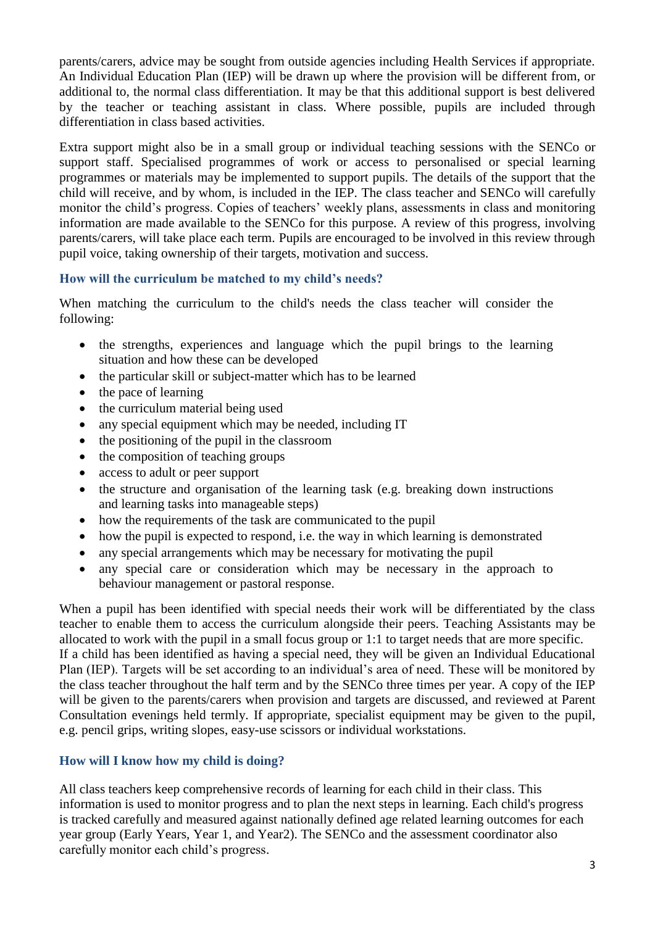parents/carers, advice may be sought from outside agencies including Health Services if appropriate. An Individual Education Plan (IEP) will be drawn up where the provision will be different from, or additional to, the normal class differentiation. It may be that this additional support is best delivered by the teacher or teaching assistant in class. Where possible, pupils are included through differentiation in class based activities.

Extra support might also be in a small group or individual teaching sessions with the SENCo or support staff. Specialised programmes of work or access to personalised or special learning programmes or materials may be implemented to support pupils. The details of the support that the child will receive, and by whom, is included in the IEP. The class teacher and SENCo will carefully monitor the child's progress. Copies of teachers' weekly plans, assessments in class and monitoring information are made available to the SENCo for this purpose. A review of this progress, involving parents/carers, will take place each term. Pupils are encouraged to be involved in this review through pupil voice, taking ownership of their targets, motivation and success.

## **How will the curriculum be matched to my child's needs?**

When matching the curriculum to the child's needs the class teacher will consider the following:

- the strengths, experiences and language which the pupil brings to the learning situation and how these can be developed
- the particular skill or subject-matter which has to be learned
- $\bullet$  the pace of learning
- the curriculum material being used
- any special equipment which may be needed, including IT
- $\bullet$  the positioning of the pupil in the classroom
- the composition of teaching groups
- access to adult or peer support
- the structure and organisation of the learning task (e.g. breaking down instructions and learning tasks into manageable steps)
- how the requirements of the task are communicated to the pupil
- how the pupil is expected to respond, i.e. the way in which learning is demonstrated
- any special arrangements which may be necessary for motivating the pupil
- any special care or consideration which may be necessary in the approach to behaviour management or pastoral response.

When a pupil has been identified with special needs their work will be differentiated by the class teacher to enable them to access the curriculum alongside their peers. Teaching Assistants may be allocated to work with the pupil in a small focus group or 1:1 to target needs that are more specific. If a child has been identified as having a special need, they will be given an Individual Educational Plan (IEP). Targets will be set according to an individual's area of need. These will be monitored by the class teacher throughout the half term and by the SENCo three times per year. A copy of the IEP will be given to the parents/carers when provision and targets are discussed, and reviewed at Parent Consultation evenings held termly. If appropriate, specialist equipment may be given to the pupil, e.g. pencil grips, writing slopes, easy-use scissors or individual workstations.

## **How will I know how my child is doing?**

All class teachers keep comprehensive records of learning for each child in their class. This information is used to monitor progress and to plan the next steps in learning. Each child's progress is tracked carefully and measured against nationally defined age related learning outcomes for each year group (Early Years, Year 1, and Year2). The SENCo and the assessment coordinator also carefully monitor each child's progress.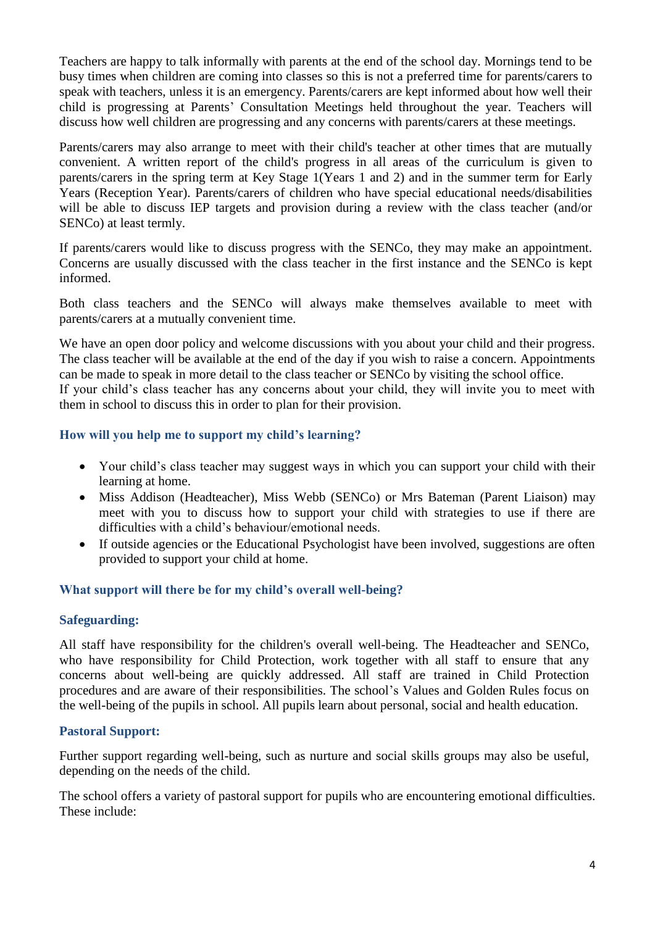Teachers are happy to talk informally with parents at the end of the school day. Mornings tend to be busy times when children are coming into classes so this is not a preferred time for parents/carers to speak with teachers, unless it is an emergency. Parents/carers are kept informed about how well their child is progressing at Parents' Consultation Meetings held throughout the year. Teachers will discuss how well children are progressing and any concerns with parents/carers at these meetings.

Parents/carers may also arrange to meet with their child's teacher at other times that are mutually convenient. A written report of the child's progress in all areas of the curriculum is given to parents/carers in the spring term at Key Stage 1(Years 1 and 2) and in the summer term for Early Years (Reception Year). Parents/carers of children who have special educational needs/disabilities will be able to discuss IEP targets and provision during a review with the class teacher (and/or SENCo) at least termly.

If parents/carers would like to discuss progress with the SENCo, they may make an appointment. Concerns are usually discussed with the class teacher in the first instance and the SENCo is kept informed.

Both class teachers and the SENCo will always make themselves available to meet with parents/carers at a mutually convenient time.

We have an open door policy and welcome discussions with you about your child and their progress. The class teacher will be available at the end of the day if you wish to raise a concern. Appointments can be made to speak in more detail to the class teacher or SENCo by visiting the school office. If your child's class teacher has any concerns about your child, they will invite you to meet with them in school to discuss this in order to plan for their provision.

### **How will you help me to support my child's learning?**

- Your child's class teacher may suggest ways in which you can support your child with their learning at home.
- Miss Addison (Headteacher), Miss Webb (SENCo) or Mrs Bateman (Parent Liaison) may meet with you to discuss how to support your child with strategies to use if there are difficulties with a child's behaviour/emotional needs.
- If outside agencies or the Educational Psychologist have been involved, suggestions are often provided to support your child at home.

#### **What support will there be for my child's overall well-being?**

#### **Safeguarding:**

All staff have responsibility for the children's overall well-being. The Headteacher and SENCo, who have responsibility for Child Protection, work together with all staff to ensure that any concerns about well-being are quickly addressed. All staff are trained in Child Protection procedures and are aware of their responsibilities. The school's Values and Golden Rules focus on the well-being of the pupils in school. All pupils learn about personal, social and health education.

#### **Pastoral Support:**

Further support regarding well-being, such as nurture and social skills groups may also be useful, depending on the needs of the child.

The school offers a variety of pastoral support for pupils who are encountering emotional difficulties. These include: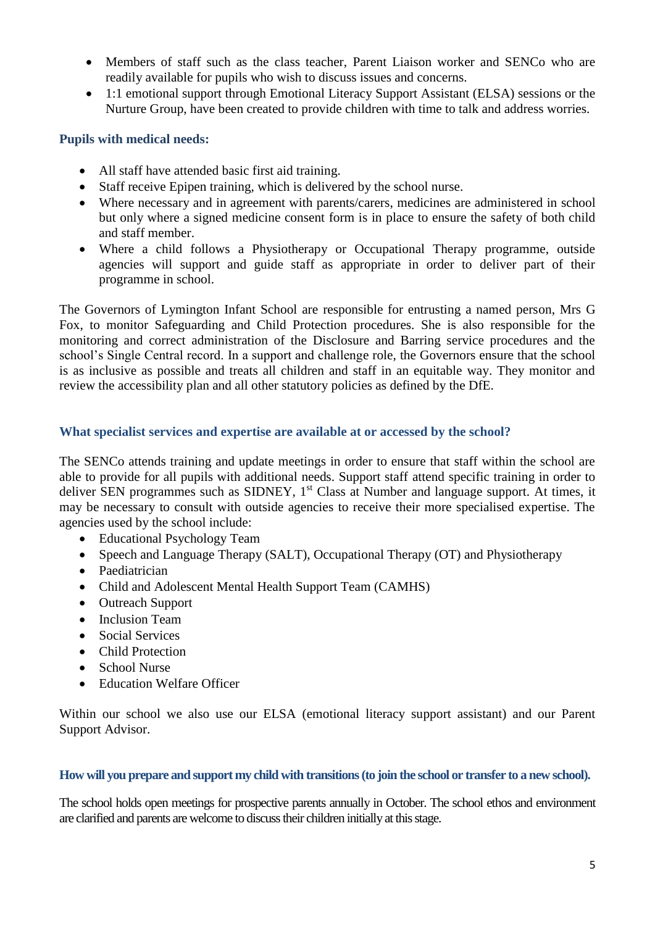- Members of staff such as the class teacher, Parent Liaison worker and SENCo who are readily available for pupils who wish to discuss issues and concerns.
- 1:1 emotional support through Emotional Literacy Support Assistant (ELSA) sessions or the Nurture Group, have been created to provide children with time to talk and address worries.

## **Pupils with medical needs:**

- All staff have attended basic first aid training.
- Staff receive Epipen training, which is delivered by the school nurse.
- Where necessary and in agreement with parents/carers, medicines are administered in school but only where a signed medicine consent form is in place to ensure the safety of both child and staff member.
- Where a child follows a Physiotherapy or Occupational Therapy programme, outside agencies will support and guide staff as appropriate in order to deliver part of their programme in school.

The Governors of Lymington Infant School are responsible for entrusting a named person, Mrs G Fox, to monitor Safeguarding and Child Protection procedures. She is also responsible for the monitoring and correct administration of the Disclosure and Barring service procedures and the school's Single Central record. In a support and challenge role, the Governors ensure that the school is as inclusive as possible and treats all children and staff in an equitable way. They monitor and review the accessibility plan and all other statutory policies as defined by the DfE.

## **What specialist services and expertise are available at or accessed by the school?**

The SENCo attends training and update meetings in order to ensure that staff within the school are able to provide for all pupils with additional needs. Support staff attend specific training in order to deliver SEN programmes such as SIDNEY,  $1<sup>st</sup>$  Class at Number and language support. At times, it may be necessary to consult with outside agencies to receive their more specialised expertise. The agencies used by the school include:

- Educational Psychology Team
- Speech and Language Therapy (SALT), Occupational Therapy (OT) and Physiotherapy
- Paediatrician
- Child and Adolescent Mental Health Support Team (CAMHS)
- Outreach Support
- Inclusion Team
- Social Services
- Child Protection
- School Nurse
- Education Welfare Officer

Within our school we also use our ELSA (emotional literacy support assistant) and our Parent Support Advisor.

## **How will you prepare and support my child with transitions (to join the school or transfer to a new school).**

The school holds open meetings for prospective parents annually in October. The school ethos and environment are clarified and parents are welcome to discuss their children initially at this stage.